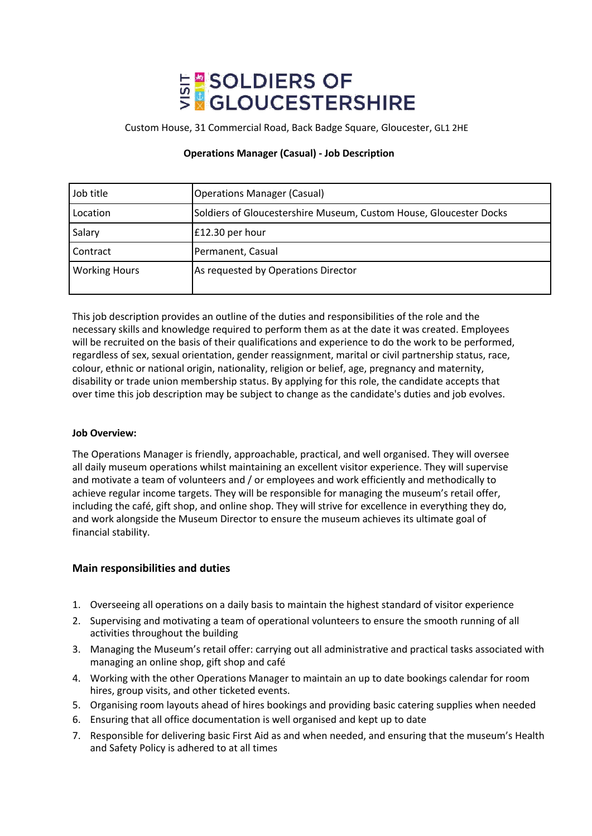# **E SOLDIERS OF<br>SEGLOUCESTERSHIRE**

Custom House, 31 Commercial Road, Back Badge Square, Gloucester, GL1 2HE

# **Operations Manager (Casual) - Job Description**

| Job title            | <b>Operations Manager (Casual)</b>                                 |
|----------------------|--------------------------------------------------------------------|
| Location             | Soldiers of Gloucestershire Museum, Custom House, Gloucester Docks |
| Salary               | £12.30 per hour                                                    |
| Contract             | Permanent, Casual                                                  |
| <b>Working Hours</b> | As requested by Operations Director                                |

This job description provides an outline of the duties and responsibilities of the role and the necessary skills and knowledge required to perform them as at the date it was created. Employees will be recruited on the basis of their qualifications and experience to do the work to be performed, regardless of sex, sexual orientation, gender reassignment, marital or civil partnership status, race, colour, ethnic or national origin, nationality, religion or belief, age, pregnancy and maternity, disability or trade union membership status. By applying for this role, the candidate accepts that over time this job description may be subject to change as the candidate's duties and job evolves.

# **Job Overview:**

The Operations Manager is friendly, approachable, practical, and well organised. They will oversee all daily museum operations whilst maintaining an excellent visitor experience. They will supervise and motivate a team of volunteers and / or employees and work efficiently and methodically to achieve regular income targets. They will be responsible for managing the museum's retail offer, including the café, gift shop, and online shop. They will strive for excellence in everything they do, and work alongside the Museum Director to ensure the museum achieves its ultimate goal of financial stability.

# **Main responsibilities and duties**

- 1. Overseeing all operations on a daily basis to maintain the highest standard of visitor experience
- 2. Supervising and motivating a team of operational volunteers to ensure the smooth running of all activities throughout the building
- 3. Managing the Museum's retail offer: carrying out all administrative and practical tasks associated with managing an online shop, gift shop and café
- 4. Working with the other Operations Manager to maintain an up to date bookings calendar for room hires, group visits, and other ticketed events.
- 5. Organising room layouts ahead of hires bookings and providing basic catering supplies when needed
- 6. Ensuring that all office documentation is well organised and kept up to date
- 7. Responsible for delivering basic First Aid as and when needed, and ensuring that the museum's Health and Safety Policy is adhered to at all times